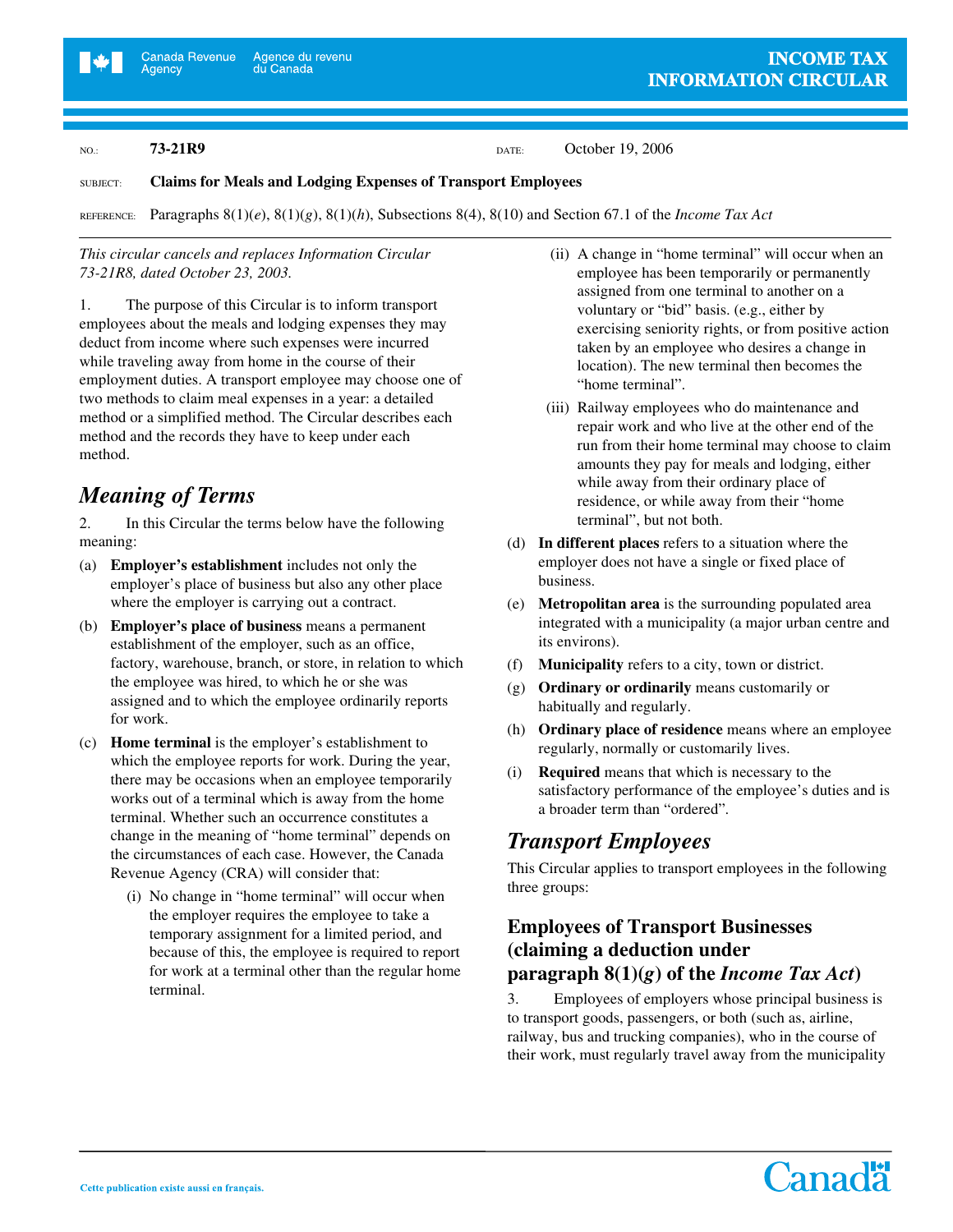Agency

NO.: **73-21R9 DATE:** October 19, 2006

#### SUBJECT: **Claims for Meals and Lodging Expenses of Transport Employees**

REFERENCE: Paragraphs 8(1)(*e*), 8(1)(*g*), 8(1)(*h*), Subsections 8(4), 8(10) and Section 67.1 of the *Income Tax Act*

#### *This circular cancels and replaces Information Circular 73-21R8, dated October 23, 2003.*

1. The purpose of this Circular is to inform transport employees about the meals and lodging expenses they may deduct from income where such expenses were incurred while traveling away from home in the course of their employment duties. A transport employee may choose one of two methods to claim meal expenses in a year: a detailed method or a simplified method. The Circular describes each method and the records they have to keep under each method.

## *Meaning of Terms*

2. In this Circular the terms below have the following meaning:

- (a) **Employer's establishment** includes not only the employer's place of business but also any other place where the employer is carrying out a contract.
- (b) **Employer's place of business** means a permanent establishment of the employer, such as an office, factory, warehouse, branch, or store, in relation to which the employee was hired, to which he or she was assigned and to which the employee ordinarily reports for work.
- (c) **Home terminal** is the employer's establishment to which the employee reports for work. During the year, there may be occasions when an employee temporarily works out of a terminal which is away from the home terminal. Whether such an occurrence constitutes a change in the meaning of "home terminal" depends on the circumstances of each case. However, the Canada Revenue Agency (CRA) will consider that:
	- (i) No change in "home terminal" will occur when the employer requires the employee to take a temporary assignment for a limited period, and because of this, the employee is required to report for work at a terminal other than the regular home terminal.
- (ii) A change in "home terminal" will occur when an employee has been temporarily or permanently assigned from one terminal to another on a voluntary or "bid" basis. (e.g., either by exercising seniority rights, or from positive action taken by an employee who desires a change in location). The new terminal then becomes the "home terminal".
- (iii) Railway employees who do maintenance and repair work and who live at the other end of the run from their home terminal may choose to claim amounts they pay for meals and lodging, either while away from their ordinary place of residence, or while away from their "home terminal", but not both.
- (d) **In different places** refers to a situation where the employer does not have a single or fixed place of business.
- (e) **Metropolitan area** is the surrounding populated area integrated with a municipality (a major urban centre and its environs).
- (f) **Municipality** refers to a city, town or district.
- (g) **Ordinary or ordinarily** means customarily or habitually and regularly.
- (h) **Ordinary place of residence** means where an employee regularly, normally or customarily lives.
- (i) **Required** means that which is necessary to the satisfactory performance of the employee's duties and is a broader term than "ordered".

## *Transport Employees*

This Circular applies to transport employees in the following three groups:

#### **Employees of Transport Businesses (claiming a deduction under paragraph**  $8(1)(g)$  of the *Income Tax Act*)

3. Employees of employers whose principal business is to transport goods, passengers, or both (such as, airline, railway, bus and trucking companies), who in the course of their work, must regularly travel away from the municipality

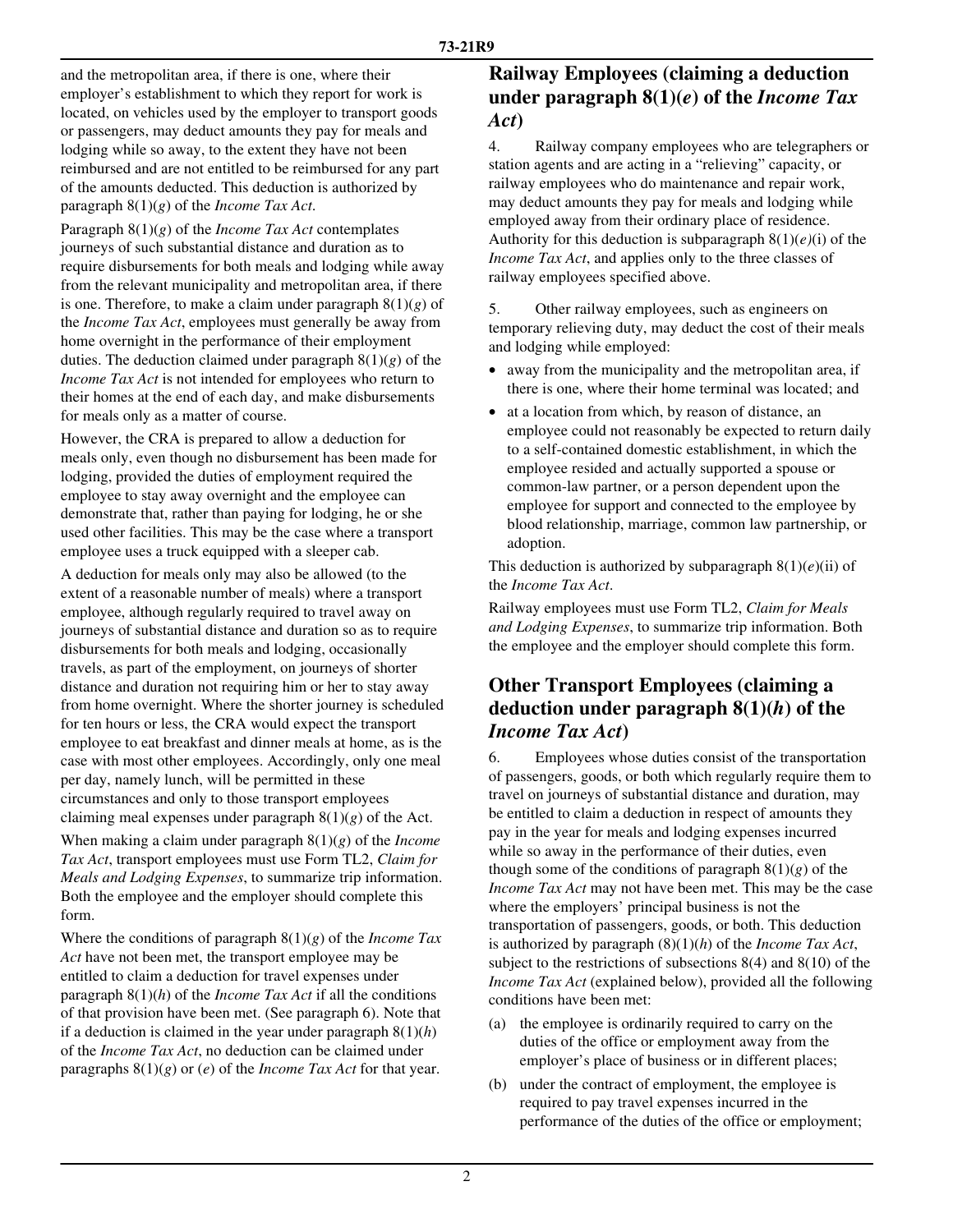and the metropolitan area, if there is one, where their employer's establishment to which they report for work is located, on vehicles used by the employer to transport goods or passengers, may deduct amounts they pay for meals and lodging while so away, to the extent they have not been reimbursed and are not entitled to be reimbursed for any part of the amounts deducted. This deduction is authorized by paragraph 8(1)(*g*) of the *Income Tax Act*.

Paragraph 8(1)(*g*) of the *Income Tax Act* contemplates journeys of such substantial distance and duration as to require disbursements for both meals and lodging while away from the relevant municipality and metropolitan area, if there is one. Therefore, to make a claim under paragraph 8(1)(*g*) of the *Income Tax Act*, employees must generally be away from home overnight in the performance of their employment duties. The deduction claimed under paragraph 8(1)(*g*) of the *Income Tax Act* is not intended for employees who return to their homes at the end of each day, and make disbursements for meals only as a matter of course.

However, the CRA is prepared to allow a deduction for meals only, even though no disbursement has been made for lodging, provided the duties of employment required the employee to stay away overnight and the employee can demonstrate that, rather than paying for lodging, he or she used other facilities. This may be the case where a transport employee uses a truck equipped with a sleeper cab.

A deduction for meals only may also be allowed (to the extent of a reasonable number of meals) where a transport employee, although regularly required to travel away on journeys of substantial distance and duration so as to require disbursements for both meals and lodging, occasionally travels, as part of the employment, on journeys of shorter distance and duration not requiring him or her to stay away from home overnight. Where the shorter journey is scheduled for ten hours or less, the CRA would expect the transport employee to eat breakfast and dinner meals at home, as is the case with most other employees. Accordingly, only one meal per day, namely lunch, will be permitted in these circumstances and only to those transport employees claiming meal expenses under paragraph  $8(1)(g)$  of the Act.

When making a claim under paragraph 8(1)(*g*) of the *Income Tax Act*, transport employees must use Form TL2, *Claim for Meals and Lodging Expenses*, to summarize trip information. Both the employee and the employer should complete this form.

Where the conditions of paragraph 8(1)(*g*) of the *Income Tax*  Act have not been met, the transport employee may be entitled to claim a deduction for travel expenses under paragraph 8(1)(*h*) of the *Income Tax Act* if all the conditions of that provision have been met. (See paragraph 6). Note that if a deduction is claimed in the year under paragraph 8(1)(*h*) of the *Income Tax Act*, no deduction can be claimed under paragraphs 8(1)(*g*) or (*e*) of the *Income Tax Act* for that year.

#### **Railway Employees (claiming a deduction under paragraph 8(1)(***e***) of the** *Income Tax Act***)**

4. Railway company employees who are telegraphers or station agents and are acting in a "relieving" capacity, or railway employees who do maintenance and repair work, may deduct amounts they pay for meals and lodging while employed away from their ordinary place of residence. Authority for this deduction is subparagraph 8(1)(*e)*(i) of the *Income Tax Act*, and applies only to the three classes of railway employees specified above.

5. Other railway employees, such as engineers on temporary relieving duty, may deduct the cost of their meals and lodging while employed:

- away from the municipality and the metropolitan area, if there is one, where their home terminal was located; and
- at a location from which, by reason of distance, an employee could not reasonably be expected to return daily to a self-contained domestic establishment, in which the employee resided and actually supported a spouse or common-law partner, or a person dependent upon the employee for support and connected to the employee by blood relationship, marriage, common law partnership, or adoption.

This deduction is authorized by subparagraph  $8(1)(e)(ii)$  of the *Income Tax Act*.

Railway employees must use Form TL2, *Claim for Meals and Lodging Expenses*, to summarize trip information. Both the employee and the employer should complete this form.

## **Other Transport Employees (claiming a deduction under paragraph 8(1)(***h***) of the**  *Income Tax Act***)**

6. Employees whose duties consist of the transportation of passengers, goods, or both which regularly require them to travel on journeys of substantial distance and duration, may be entitled to claim a deduction in respect of amounts they pay in the year for meals and lodging expenses incurred while so away in the performance of their duties, even though some of the conditions of paragraph  $8(1)(g)$  of the *Income Tax Act* may not have been met. This may be the case where the employers' principal business is not the transportation of passengers, goods, or both. This deduction is authorized by paragraph (8)(1)(*h*) of the *Income Tax Act*, subject to the restrictions of subsections  $8(4)$  and  $8(10)$  of the *Income Tax Act* (explained below), provided all the following conditions have been met:

- (a) the employee is ordinarily required to carry on the duties of the office or employment away from the employer's place of business or in different places;
- (b) under the contract of employment, the employee is required to pay travel expenses incurred in the performance of the duties of the office or employment;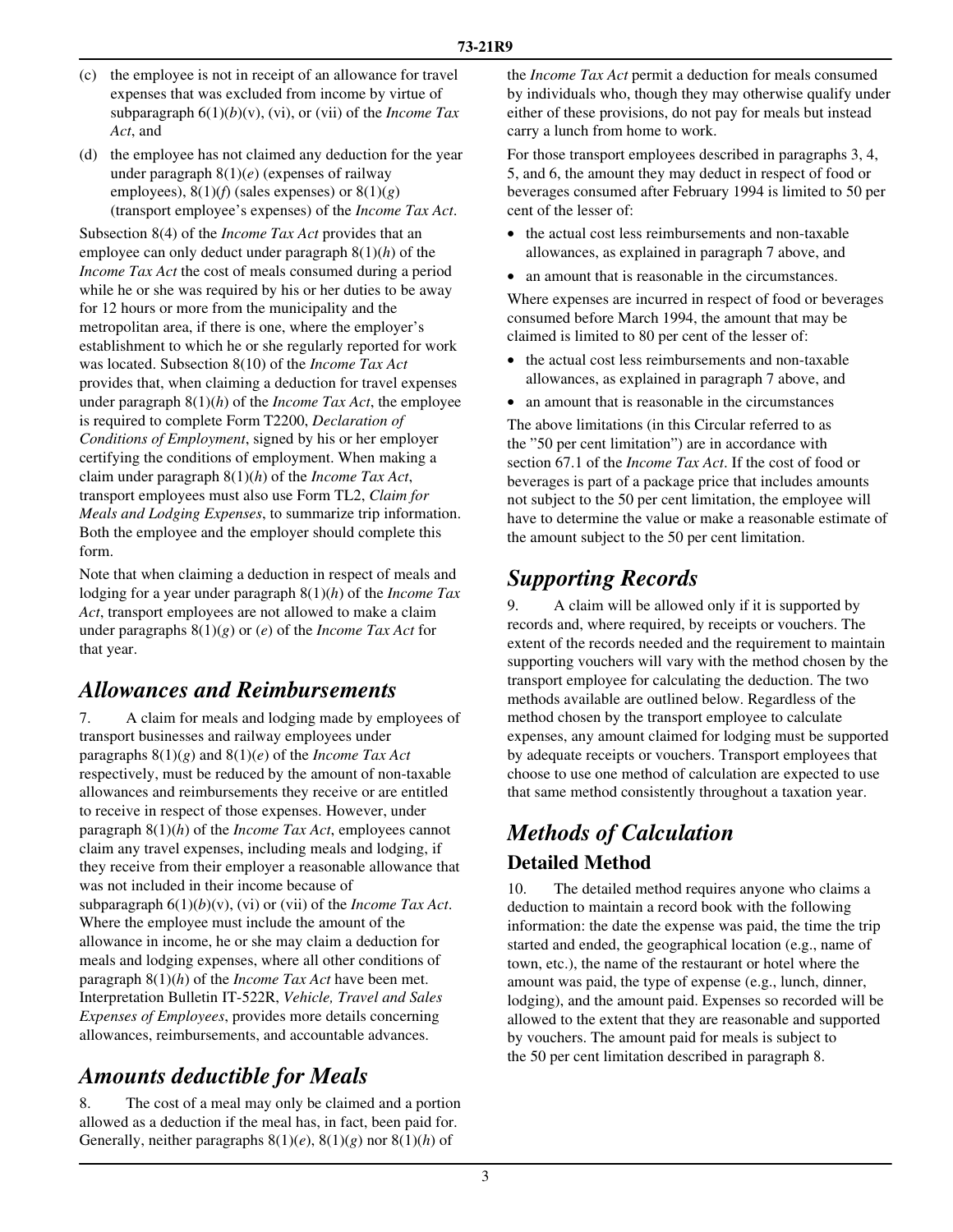- (c) the employee is not in receipt of an allowance for travel expenses that was excluded from income by virtue of subparagraph 6(1)(*b*)(v), (vi), or (vii) of the *Income Tax Act*, and
- (d) the employee has not claimed any deduction for the year under paragraph 8(1)(*e*) (expenses of railway employees),  $8(1)(f)$  (sales expenses) or  $8(1)(g)$ (transport employee's expenses) of the *Income Tax Act*.

Subsection 8(4) of the *Income Tax Act* provides that an employee can only deduct under paragraph 8(1)(*h*) of the *Income Tax Act* the cost of meals consumed during a period while he or she was required by his or her duties to be away for 12 hours or more from the municipality and the metropolitan area, if there is one, where the employer's establishment to which he or she regularly reported for work was located. Subsection 8(10) of the *Income Tax Act* provides that, when claiming a deduction for travel expenses under paragraph 8(1)(*h*) of the *Income Tax Act*, the employee is required to complete Form T2200, *Declaration of Conditions of Employment*, signed by his or her employer certifying the conditions of employment. When making a claim under paragraph 8(1)(*h*) of the *Income Tax Act*, transport employees must also use Form TL2, *Claim for Meals and Lodging Expenses*, to summarize trip information. Both the employee and the employer should complete this form.

Note that when claiming a deduction in respect of meals and lodging for a year under paragraph 8(1)(*h*) of the *Income Tax Act*, transport employees are not allowed to make a claim under paragraphs 8(1)(*g*) or (*e*) of the *Income Tax Act* for that year.

## *Allowances and Reimbursements*

7. A claim for meals and lodging made by employees of transport businesses and railway employees under paragraphs 8(1)(*g*) and 8(1)(*e*) of the *Income Tax Act*  respectively, must be reduced by the amount of non-taxable allowances and reimbursements they receive or are entitled to receive in respect of those expenses. However, under paragraph 8(1)(*h*) of the *Income Tax Act*, employees cannot claim any travel expenses, including meals and lodging, if they receive from their employer a reasonable allowance that was not included in their income because of subparagraph 6(1)(*b*)(v), (vi) or (vii) of the *Income Tax Act*. Where the employee must include the amount of the allowance in income, he or she may claim a deduction for meals and lodging expenses, where all other conditions of paragraph 8(1)(*h*) of the *Income Tax Act* have been met. Interpretation Bulletin IT-522R, *Vehicle, Travel and Sales Expenses of Employees*, provides more details concerning allowances, reimbursements, and accountable advances.

## *Amounts deductible for Meals*

8. The cost of a meal may only be claimed and a portion allowed as a deduction if the meal has, in fact, been paid for. Generally, neither paragraphs 8(1)(*e*), 8(1)(*g*) nor 8(1)(*h*) of

the *Income Tax Act* permit a deduction for meals consumed by individuals who, though they may otherwise qualify under either of these provisions, do not pay for meals but instead carry a lunch from home to work.

For those transport employees described in paragraphs 3, 4, 5, and 6, the amount they may deduct in respect of food or beverages consumed after February 1994 is limited to 50 per cent of the lesser of:

- the actual cost less reimbursements and non-taxable allowances, as explained in paragraph 7 above, and
- an amount that is reasonable in the circumstances.

Where expenses are incurred in respect of food or beverages consumed before March 1994, the amount that may be claimed is limited to 80 per cent of the lesser of:

- the actual cost less reimbursements and non-taxable allowances, as explained in paragraph 7 above, and
- an amount that is reasonable in the circumstances

The above limitations (in this Circular referred to as the "50 per cent limitation") are in accordance with section 67.1 of the *Income Tax Act*. If the cost of food or beverages is part of a package price that includes amounts not subject to the 50 per cent limitation, the employee will have to determine the value or make a reasonable estimate of the amount subject to the 50 per cent limitation.

## *Supporting Records*

9. A claim will be allowed only if it is supported by records and, where required, by receipts or vouchers. The extent of the records needed and the requirement to maintain supporting vouchers will vary with the method chosen by the transport employee for calculating the deduction. The two methods available are outlined below. Regardless of the method chosen by the transport employee to calculate expenses, any amount claimed for lodging must be supported by adequate receipts or vouchers. Transport employees that choose to use one method of calculation are expected to use that same method consistently throughout a taxation year.

# *Methods of Calculation*  **Detailed Method**

10. The detailed method requires anyone who claims a deduction to maintain a record book with the following information: the date the expense was paid, the time the trip started and ended, the geographical location (e.g., name of town, etc.), the name of the restaurant or hotel where the amount was paid, the type of expense (e.g., lunch, dinner, lodging), and the amount paid. Expenses so recorded will be allowed to the extent that they are reasonable and supported by vouchers. The amount paid for meals is subject to the 50 per cent limitation described in paragraph 8.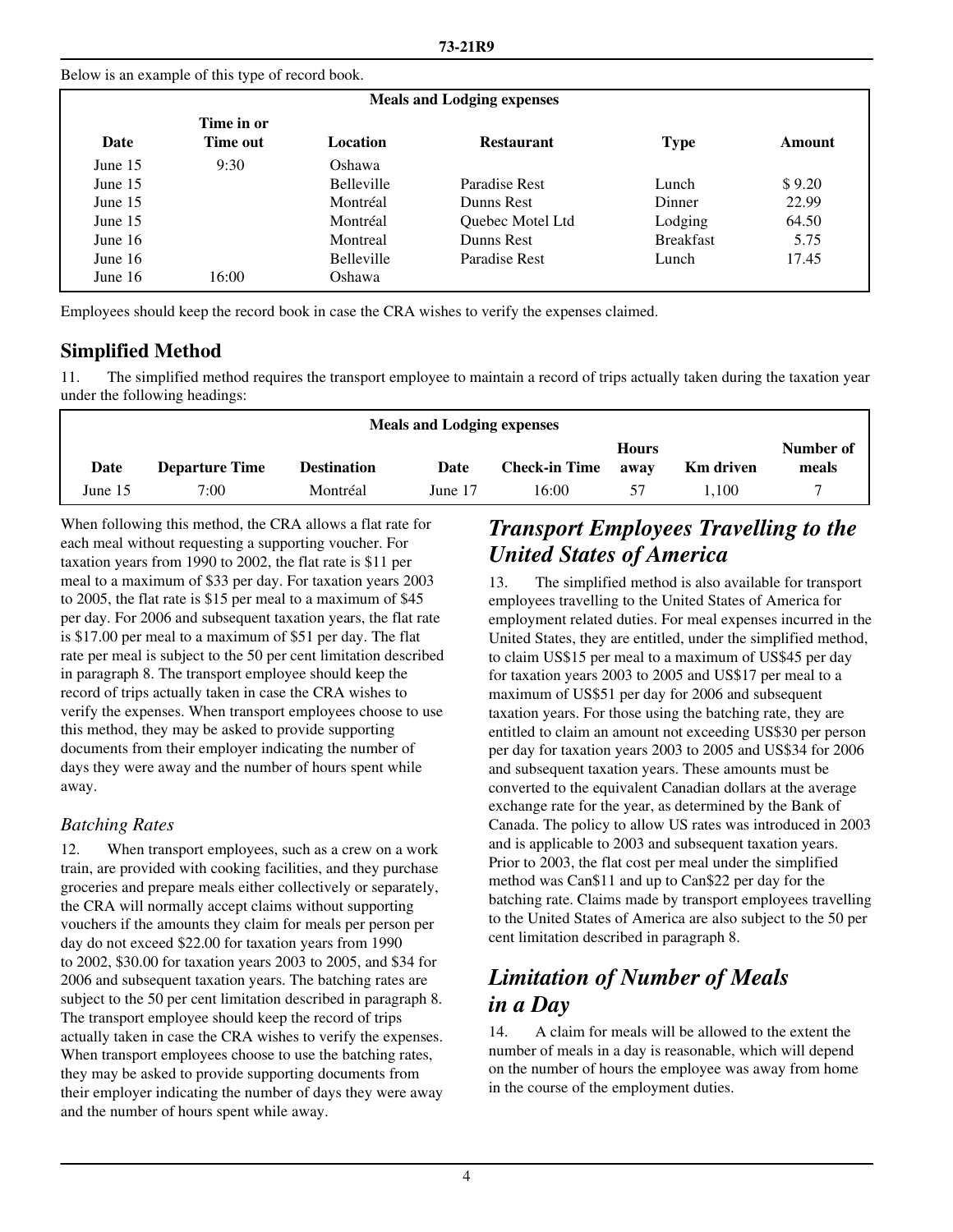Below is an example of this type of record book.

| <b>Meals and Lodging expenses</b> |                        |                                      |                         |                  |        |  |  |  |  |  |
|-----------------------------------|------------------------|--------------------------------------|-------------------------|------------------|--------|--|--|--|--|--|
| Date                              | Time in or<br>Time out | <b>Location</b><br><b>Restaurant</b> |                         | <b>Type</b>      | Amount |  |  |  |  |  |
| June $15$                         | 9:30                   | Oshawa                               |                         |                  |        |  |  |  |  |  |
| June $15$                         |                        | <b>Belleville</b>                    | Paradise Rest           | Lunch            | \$9.20 |  |  |  |  |  |
| June $15$                         |                        | Montréal                             | Dunns Rest              | Dinner           | 22.99  |  |  |  |  |  |
| June $15$                         |                        | Montréal                             | <b>Ouebec Motel Ltd</b> | Lodging          | 64.50  |  |  |  |  |  |
| June $16$                         |                        | Montreal                             | Dunns Rest              | <b>Breakfast</b> | 5.75   |  |  |  |  |  |
| June $16$                         |                        | <b>Belleville</b>                    | Paradise Rest           | Lunch            | 17.45  |  |  |  |  |  |
| June $16$                         | 16:00                  | Oshawa                               |                         |                  |        |  |  |  |  |  |

Employees should keep the record book in case the CRA wishes to verify the expenses claimed.

## **Simplified Method**

11. The simplified method requires the transport employee to maintain a record of trips actually taken during the taxation year under the following headings:

| <b>Meals and Lodging expenses</b> |                       |                    |         |                      |              |                  |           |  |  |  |
|-----------------------------------|-----------------------|--------------------|---------|----------------------|--------------|------------------|-----------|--|--|--|
|                                   |                       |                    |         |                      | <b>Hours</b> |                  | Number of |  |  |  |
| Date                              | <b>Departure Time</b> | <b>Destination</b> | Date    | <b>Check-in Time</b> | away         | <b>Km</b> driven | meals     |  |  |  |
| June 15                           | 7:00                  | Montréal           | June 17 | 16:00                | 57           | 1.100            |           |  |  |  |
|                                   |                       |                    |         |                      |              |                  |           |  |  |  |

When following this method, the CRA allows a flat rate for each meal without requesting a supporting voucher. For taxation years from 1990 to 2002, the flat rate is \$11 per meal to a maximum of \$33 per day. For taxation years 2003 to 2005, the flat rate is \$15 per meal to a maximum of \$45 per day. For 2006 and subsequent taxation years, the flat rate is \$17.00 per meal to a maximum of \$51 per day. The flat rate per meal is subject to the 50 per cent limitation described in paragraph 8. The transport employee should keep the record of trips actually taken in case the CRA wishes to verify the expenses. When transport employees choose to use this method, they may be asked to provide supporting documents from their employer indicating the number of days they were away and the number of hours spent while away.

#### *Batching Rates*

12. When transport employees, such as a crew on a work train, are provided with cooking facilities, and they purchase groceries and prepare meals either collectively or separately, the CRA will normally accept claims without supporting vouchers if the amounts they claim for meals per person per day do not exceed \$22.00 for taxation years from 1990 to 2002, \$30.00 for taxation years 2003 to 2005, and \$34 for 2006 and subsequent taxation years. The batching rates are subject to the 50 per cent limitation described in paragraph 8. The transport employee should keep the record of trips actually taken in case the CRA wishes to verify the expenses. When transport employees choose to use the batching rates, they may be asked to provide supporting documents from their employer indicating the number of days they were away and the number of hours spent while away.

## *Transport Employees Travelling to the United States of America*

13. The simplified method is also available for transport employees travelling to the United States of America for employment related duties. For meal expenses incurred in the United States, they are entitled, under the simplified method, to claim US\$15 per meal to a maximum of US\$45 per day for taxation years 2003 to 2005 and US\$17 per meal to a maximum of US\$51 per day for 2006 and subsequent taxation years. For those using the batching rate, they are entitled to claim an amount not exceeding US\$30 per person per day for taxation years 2003 to 2005 and US\$34 for 2006 and subsequent taxation years. These amounts must be converted to the equivalent Canadian dollars at the average exchange rate for the year, as determined by the Bank of Canada. The policy to allow US rates was introduced in 2003 and is applicable to 2003 and subsequent taxation years. Prior to 2003, the flat cost per meal under the simplified method was Can\$11 and up to Can\$22 per day for the batching rate. Claims made by transport employees travelling to the United States of America are also subject to the 50 per cent limitation described in paragraph 8.

## *Limitation of Number of Meals in a Day*

14. A claim for meals will be allowed to the extent the number of meals in a day is reasonable, which will depend on the number of hours the employee was away from home in the course of the employment duties.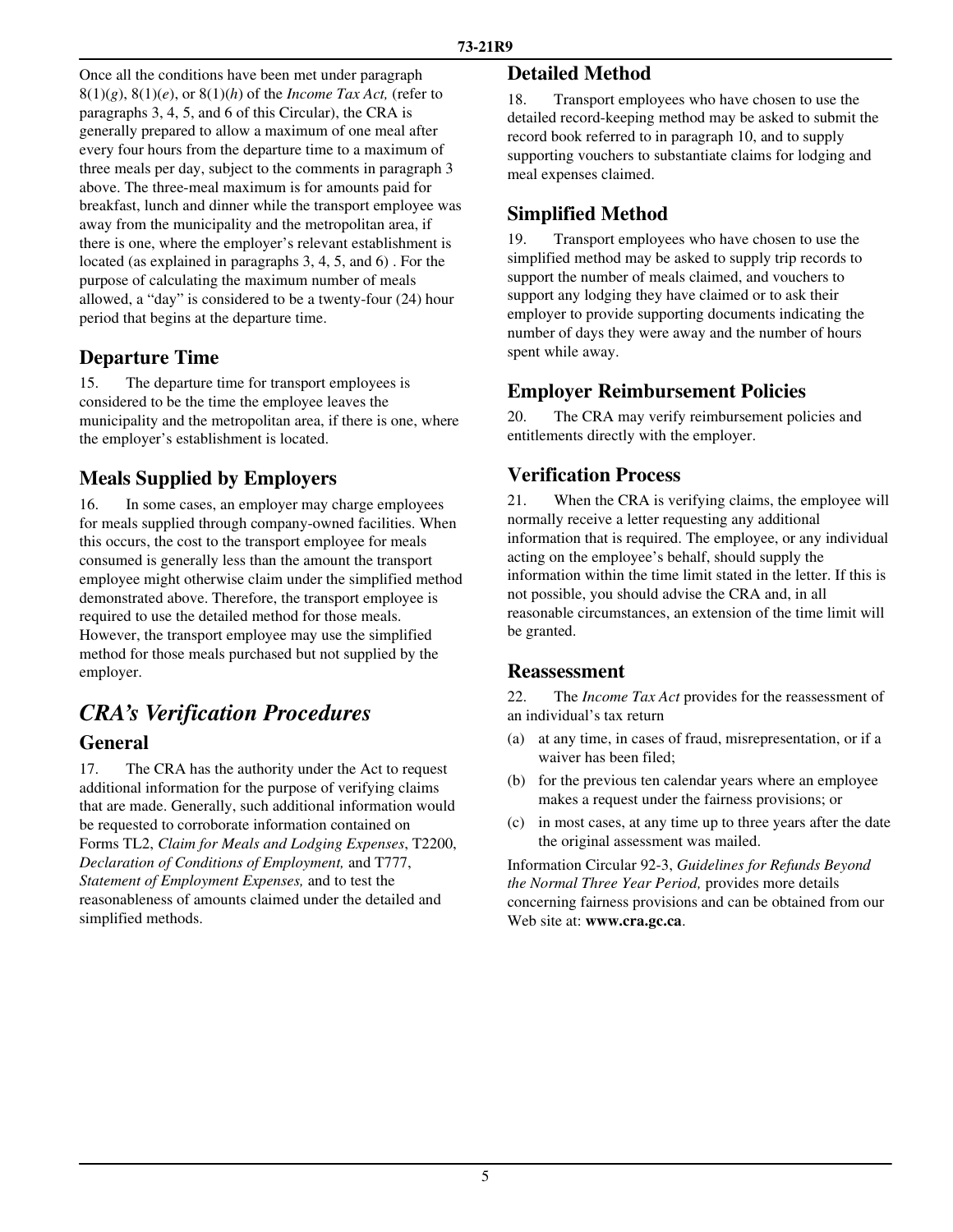Once all the conditions have been met under paragraph  $8(1)(g)$ ,  $8(1)(e)$ , or  $8(1)(h)$  of the *Income Tax Act*, (refer to paragraphs 3, 4, 5, and 6 of this Circular), the CRA is generally prepared to allow a maximum of one meal after every four hours from the departure time to a maximum of three meals per day, subject to the comments in paragraph 3 above. The three-meal maximum is for amounts paid for breakfast, lunch and dinner while the transport employee was away from the municipality and the metropolitan area, if there is one, where the employer's relevant establishment is located (as explained in paragraphs 3, 4, 5, and 6) . For the purpose of calculating the maximum number of meals allowed, a "day" is considered to be a twenty-four (24) hour period that begins at the departure time.

## **Departure Time**

15. The departure time for transport employees is considered to be the time the employee leaves the municipality and the metropolitan area, if there is one, where the employer's establishment is located.

## **Meals Supplied by Employers**

16. In some cases, an employer may charge employees for meals supplied through company-owned facilities. When this occurs, the cost to the transport employee for meals consumed is generally less than the amount the transport employee might otherwise claim under the simplified method demonstrated above. Therefore, the transport employee is required to use the detailed method for those meals. However, the transport employee may use the simplified method for those meals purchased but not supplied by the employer.

# *CRA's Verification Procedures*

#### **General**

17. The CRA has the authority under the Act to request additional information for the purpose of verifying claims that are made. Generally, such additional information would be requested to corroborate information contained on Forms TL2, *Claim for Meals and Lodging Expenses*, T2200, *Declaration of Conditions of Employment,* and T777, *Statement of Employment Expenses,* and to test the reasonableness of amounts claimed under the detailed and simplified methods.

#### **Detailed Method**

18. Transport employees who have chosen to use the detailed record-keeping method may be asked to submit the record book referred to in paragraph 10, and to supply supporting vouchers to substantiate claims for lodging and meal expenses claimed.

## **Simplified Method**

19. Transport employees who have chosen to use the simplified method may be asked to supply trip records to support the number of meals claimed, and vouchers to support any lodging they have claimed or to ask their employer to provide supporting documents indicating the number of days they were away and the number of hours spent while away.

## **Employer Reimbursement Policies**

20. The CRA may verify reimbursement policies and entitlements directly with the employer.

## **Verification Process**

21. When the CRA is verifying claims, the employee will normally receive a letter requesting any additional information that is required. The employee, or any individual acting on the employee's behalf, should supply the information within the time limit stated in the letter. If this is not possible, you should advise the CRA and, in all reasonable circumstances, an extension of the time limit will be granted.

#### **Reassessment**

22. The *Income Tax Act* provides for the reassessment of an individual's tax return

- (a) at any time, in cases of fraud, misrepresentation, or if a waiver has been filed;
- (b) for the previous ten calendar years where an employee makes a request under the fairness provisions; or
- (c) in most cases, at any time up to three years after the date the original assessment was mailed.

Information Circular 92-3, *Guidelines for Refunds Beyond the Normal Three Year Period,* provides more details concerning fairness provisions and can be obtained from our Web site at: **www.cra.gc.ca**.